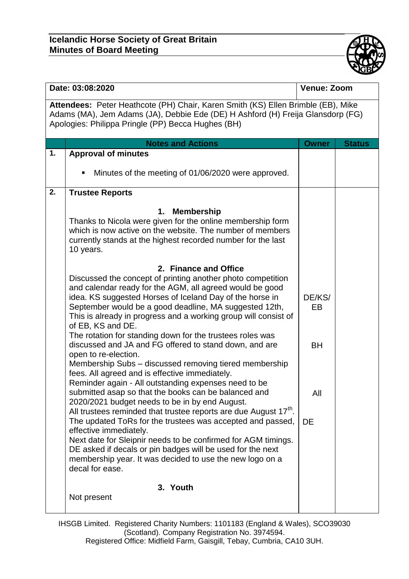

| Date: 03:08:2020                                                                                                                                                                                                          |                                                                                                                                                                                                                                                                                                                                                                                                                                                                                                                                                                                                                                                                                                                                                                                                                                                                                                                                                                                                                                                                                                                                                                                                                                                                                                                                                                                                                                       | <b>Venue: Zoom</b>                            |               |  |  |  |
|---------------------------------------------------------------------------------------------------------------------------------------------------------------------------------------------------------------------------|---------------------------------------------------------------------------------------------------------------------------------------------------------------------------------------------------------------------------------------------------------------------------------------------------------------------------------------------------------------------------------------------------------------------------------------------------------------------------------------------------------------------------------------------------------------------------------------------------------------------------------------------------------------------------------------------------------------------------------------------------------------------------------------------------------------------------------------------------------------------------------------------------------------------------------------------------------------------------------------------------------------------------------------------------------------------------------------------------------------------------------------------------------------------------------------------------------------------------------------------------------------------------------------------------------------------------------------------------------------------------------------------------------------------------------------|-----------------------------------------------|---------------|--|--|--|
| Attendees: Peter Heathcote (PH) Chair, Karen Smith (KS) Ellen Brimble (EB), Mike<br>Adams (MA), Jem Adams (JA), Debbie Ede (DE) H Ashford (H) Freija Glansdorp (FG)<br>Apologies: Philippa Pringle (PP) Becca Hughes (BH) |                                                                                                                                                                                                                                                                                                                                                                                                                                                                                                                                                                                                                                                                                                                                                                                                                                                                                                                                                                                                                                                                                                                                                                                                                                                                                                                                                                                                                                       |                                               |               |  |  |  |
|                                                                                                                                                                                                                           | <b>Notes and Actions</b>                                                                                                                                                                                                                                                                                                                                                                                                                                                                                                                                                                                                                                                                                                                                                                                                                                                                                                                                                                                                                                                                                                                                                                                                                                                                                                                                                                                                              | <b>Owner</b>                                  | <b>Status</b> |  |  |  |
| 1.                                                                                                                                                                                                                        | <b>Approval of minutes</b>                                                                                                                                                                                                                                                                                                                                                                                                                                                                                                                                                                                                                                                                                                                                                                                                                                                                                                                                                                                                                                                                                                                                                                                                                                                                                                                                                                                                            |                                               |               |  |  |  |
|                                                                                                                                                                                                                           | Minutes of the meeting of 01/06/2020 were approved.<br>٠                                                                                                                                                                                                                                                                                                                                                                                                                                                                                                                                                                                                                                                                                                                                                                                                                                                                                                                                                                                                                                                                                                                                                                                                                                                                                                                                                                              |                                               |               |  |  |  |
| 2.                                                                                                                                                                                                                        | <b>Trustee Reports</b>                                                                                                                                                                                                                                                                                                                                                                                                                                                                                                                                                                                                                                                                                                                                                                                                                                                                                                                                                                                                                                                                                                                                                                                                                                                                                                                                                                                                                |                                               |               |  |  |  |
|                                                                                                                                                                                                                           | <b>Membership</b><br>1.<br>Thanks to Nicola were given for the online membership form<br>which is now active on the website. The number of members<br>currently stands at the highest recorded number for the last<br>10 years.<br>2. Finance and Office<br>Discussed the concept of printing another photo competition<br>and calendar ready for the AGM, all agreed would be good<br>idea. KS suggested Horses of Iceland Day of the horse in<br>September would be a good deadline, MA suggested 12th,<br>This is already in progress and a working group will consist of<br>of EB, KS and DE.<br>The rotation for standing down for the trustees roles was<br>discussed and JA and FG offered to stand down, and are<br>open to re-election.<br>Membership Subs - discussed removing tiered membership<br>fees. All agreed and is effective immediately.<br>Reminder again - All outstanding expenses need to be<br>submitted asap so that the books can be balanced and<br>2020/2021 budget needs to be in by end August.<br>All trustees reminded that trustee reports are due August $17th$ .<br>The updated ToRs for the trustees was accepted and passed,<br>effective immediately.<br>Next date for Sleipnir needs to be confirmed for AGM timings.<br>DE asked if decals or pin badges will be used for the next<br>membership year. It was decided to use the new logo on a<br>decal for ease.<br>3. Youth<br>Not present | DE/KS/<br>EB<br><b>BH</b><br>All<br><b>DE</b> |               |  |  |  |
|                                                                                                                                                                                                                           |                                                                                                                                                                                                                                                                                                                                                                                                                                                                                                                                                                                                                                                                                                                                                                                                                                                                                                                                                                                                                                                                                                                                                                                                                                                                                                                                                                                                                                       |                                               |               |  |  |  |

IHSGB Limited. Registered Charity Numbers: 1101183 (England & Wales), SCO39030 (Scotland). Company Registration No. 3974594. Registered Office: Midfield Farm, Gaisgill, Tebay, Cumbria, CA10 3UH.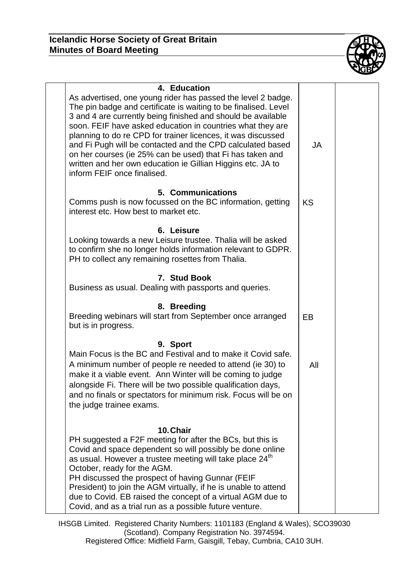

| 4. Education<br>As advertised, one young rider has passed the level 2 badge.<br>The pin badge and certificate is waiting to be finalised. Level<br>3 and 4 are currently being finished and should be available<br>soon. FEIF have asked education in countries what they are<br>planning to do re CPD for trainer licences, it was discussed<br>and Fi Pugh will be contacted and the CPD calculated based<br>on her courses (ie 25% can be used) that Fi has taken and<br>written and her own education ie Gillian Higgins etc. JA to<br>inform FEIF once finalised. | JA        |  |
|------------------------------------------------------------------------------------------------------------------------------------------------------------------------------------------------------------------------------------------------------------------------------------------------------------------------------------------------------------------------------------------------------------------------------------------------------------------------------------------------------------------------------------------------------------------------|-----------|--|
| 5. Communications<br>Comms push is now focussed on the BC information, getting<br>interest etc. How best to market etc.                                                                                                                                                                                                                                                                                                                                                                                                                                                | <b>KS</b> |  |
| 6. Leisure<br>Looking towards a new Leisure trustee. Thalia will be asked<br>to confirm she no longer holds information relevant to GDPR.<br>PH to collect any remaining rosettes from Thalia.                                                                                                                                                                                                                                                                                                                                                                         |           |  |
| 7. Stud Book<br>Business as usual. Dealing with passports and queries.                                                                                                                                                                                                                                                                                                                                                                                                                                                                                                 |           |  |
| 8. Breeding<br>Breeding webinars will start from September once arranged<br>but is in progress.                                                                                                                                                                                                                                                                                                                                                                                                                                                                        | EB.       |  |
| 9. Sport<br>Main Focus is the BC and Festival and to make it Covid safe.<br>A minimum number of people re needed to attend (ie 30) to<br>make it a viable event. Ann Winter will be coming to judge<br>alongside Fi. There will be two possible qualification days,<br>and no finals or spectators for minimum risk. Focus will be on<br>the judge trainee exams.                                                                                                                                                                                                      | All       |  |
| 10. Chair<br>PH suggested a F2F meeting for after the BCs, but this is<br>Covid and space dependent so will possibly be done online<br>as usual. However a trustee meeting will take place 24 <sup>th</sup><br>October, ready for the AGM.<br>PH discussed the prospect of having Gunnar (FEIF<br>President) to join the AGM virtually, if he is unable to attend<br>due to Covid. EB raised the concept of a virtual AGM due to<br>Covid, and as a trial run as a possible future venture.                                                                            |           |  |

IHSGB Limited. Registered Charity Numbers: 1101183 (England & Wales), SCO39030 (Scotland). Company Registration No. 3974594. Registered Office: Midfield Farm, Gaisgill, Tebay, Cumbria, CA10 3UH.